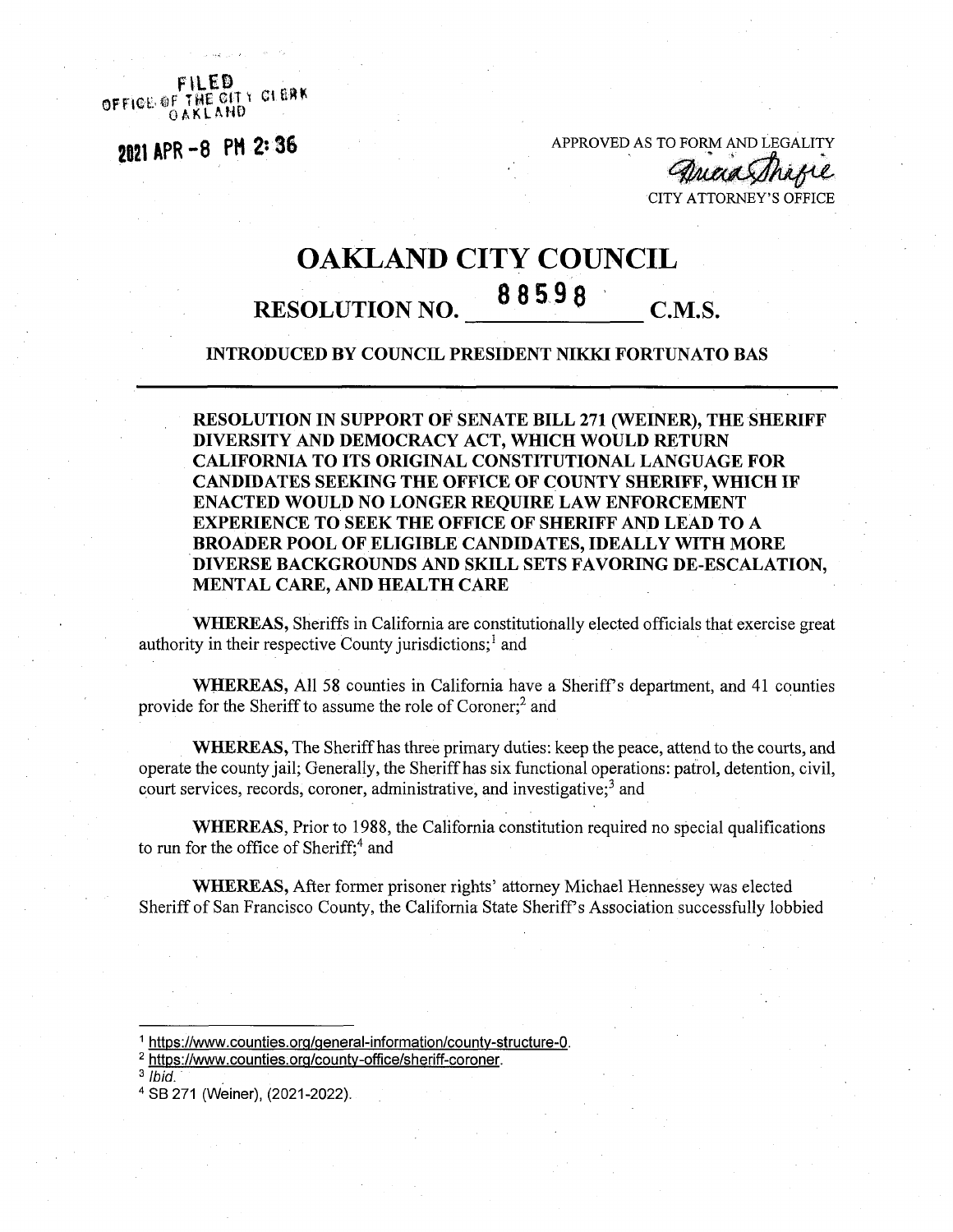OFFICE OF THE CITY CLEAR

**<sup>2821</sup> APR-8 PH 2\* 36** APPROVED AS TO FORM AND LEGALITY

CITY ATTORNEY'S OFFICE

## OAKLAND CITY COUNCIL <sup>8</sup> 8598 RESOLUTION NO. C.M.S.

## **INTRODUCED BY COUNCIL PRESIDENT NIKKI FORTUNATO BAS**

**RESOLUTION IN SUPPORT OF SENATE BILL 271 (WEINER), THE SHERIFF DIVERSITY AND DEMOCRACY ACT, WHICH WOULD RETURN CALIFORNIA TO ITS ORIGINAL CONSTITUTIONAL LANGUAGE FOR CANDIDATES SEEKING THE OFFICE OF COUNTY SHERIFF, WHICH IF ENACTED WOULD NO LONGER REQUIRE LAW ENFORCEMENT EXPERIENCE TO SEEK THE OFFICE OF SHERIFF AND LEAD TO A BROADER POOL OF ELIGIBLE CANDIDATES, IDEALLY WITH MORE DIVERSE BACKGROUNDS AND SKILL SETS FAVORING DE-ESCALATION, MENTAL CARE, AND HEALTH CARE**

**WHEREAS,** Sheriffs in California are constitutionally elected officials that exercise great authority in their respective County jurisdictions;<sup>1</sup> and

**WHEREAS,** All 58 counties in California have a Sheriffs department, and 41 counties provide for the Sheriff to assume the role of Coroner;<sup>2</sup> and

**WHEREAS,** The Sheriffhas three primary duties: keep the peace, attend to the courts, and operate the county jail; Generally, the Sheriff has six functional operations: patrol, detention, civil, court services, records, coroner, administrative, and investigative;3 and

**WHEREAS,** Prior to 1988, the California constitution required no special qualifications to run for the office of Sheriff;<sup>4</sup> and

**WHEREAS,** After former prisoner rights' attorney Michael Hennessey was elected Sheriff of San Francisco County, the California State Sheriff's Association successfully lobbied

<sup>&</sup>lt;sup>1</sup> https://www.counties.org/general-information/county-structure-0.

<sup>2</sup> [https://www.counties.ora/countv-office/sheriff-coroner.](https://www.counties.ora/countv-office/sheriff-coroner)

<sup>3</sup> *Ibid.*

<sup>4</sup> SB 271 (Weiner), (2021-2022).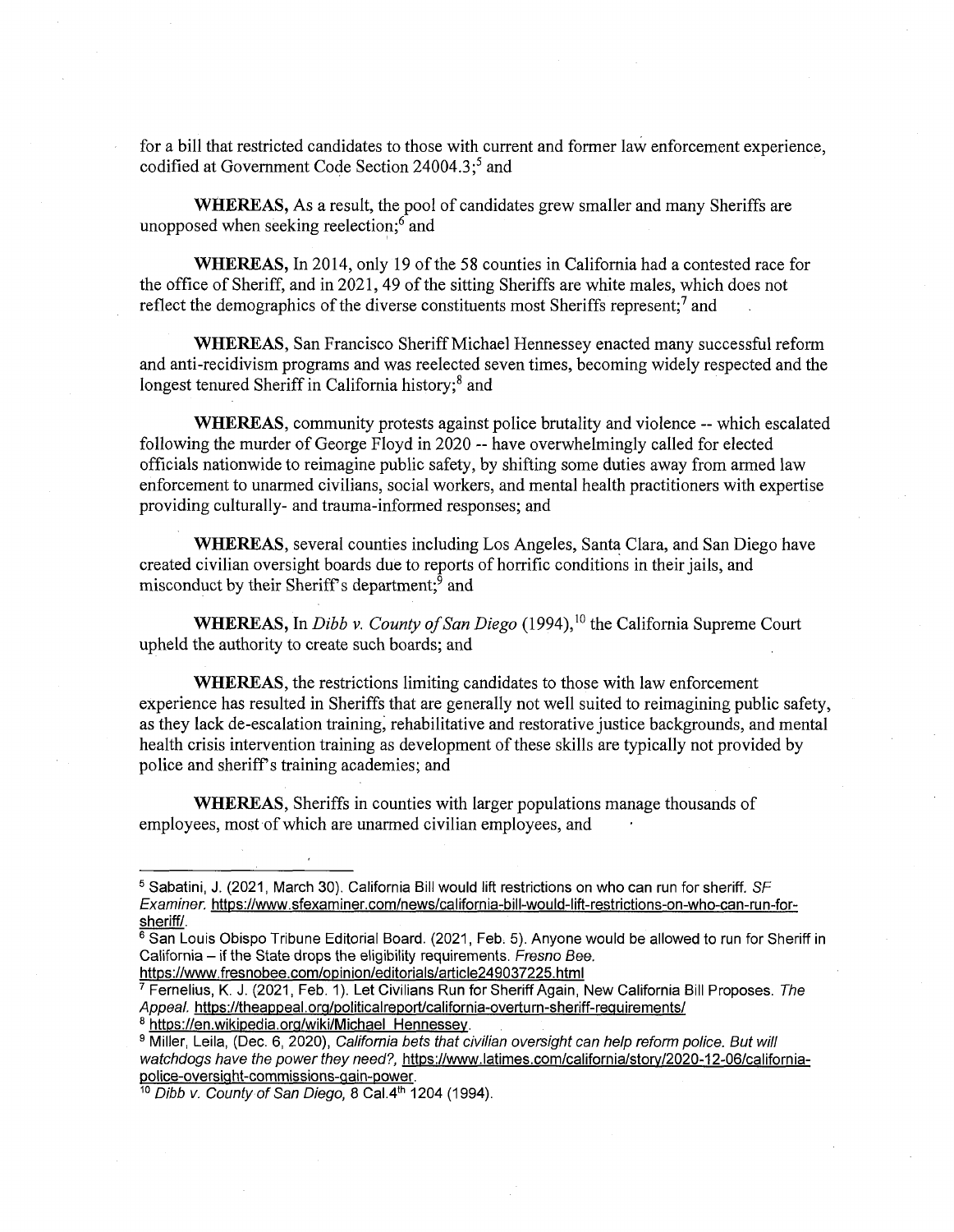for a bill that restricted candidates to those with current and former law enforcement experience, codified at Government Code Section  $24004.3$ ;<sup>5</sup> and

**WHEREAS,** As a result, the pool of candidates grew smaller and many Sheriffs are unopposed when seeking reelection;<sup>6</sup> and

WHEREAS, In 2014, only 19 of the 58 counties in California had a contested race for the office of Sheriff, and in 2021, 49 of the sitting Sheriffs are white males, which does not reflect the demographics of the diverse constituents most Sheriffs represent;<sup>7</sup> and

WHEREAS, San Francisco Sheriff Michael Hennessey enacted many successful reform and anti-recidivism programs and was reelected seven times, becoming widely respected and the longest tenured Sheriff in California history;<sup>8</sup> and

**WHEREAS,** community protests against police brutality and violence — which escalated following the murder of George Floyd in 2020 — have overwhelmingly called for elected officials nationwide to reimagine public safety, by shifting some duties away from armed law enforcement to unarmed civilians, social workers, and mental health practitioners with expertise providing culturally- and trauma-informed responses; and

**WHEREAS,** several counties including Los Angeles, Santa Clara, and San Diego have created civilian oversight boards due to reports of horrific conditions in their jails, and misconduct by their Sheriff's department;<sup>9</sup> and

WHEREAS, In *Dibb v. County of San Diego* (1994),<sup>10</sup> the California Supreme Court upheld the authority to create such boards; and

**WHEREAS,** the restrictions limiting candidates to those with law enforcement experience has resulted in Sheriffs that are generally not well suited to reimagining public safety, as they lack de-escalation training, rehabilitative and restorative justice backgrounds, and mental health crisis intervention training as development of these skills are typically not provided by police and sheriff's training academies; and

**WHEREAS,** Sheriffs in counties with larger populations manage thousands of employees, most of which are unarmed civilian employees, and

<https://www.fresnobee.com/opinion/editorials/article249037225.html>

<sup>8</sup> [https://en.wikipedia.org/wiki/Michael](https://en.wikipedia.org/wiki/Michael_Hennessey) Hennessey.

<sup>9</sup> Miller, Leila, (Dec. 6, 2020), *California bets that civilian oversight can help reform police. But will watchdogs have the power they need?,* [https://www.latimes.com/california/storv/2020-12-Q6/california](https://www.latimes.com/california/storv/2020-12-Q6/california-police-oversight-commissions-qain-power)[police-oversight-commissions-qain-power](https://www.latimes.com/california/storv/2020-12-Q6/california-police-oversight-commissions-qain-power).

10 *Dibb v. County of San Diego, 8 Cal.4<sup>th</sup> 1204 (1994).* 

<sup>5</sup> Sabatini, J. (2021, March 30). California Bill would lift restrictions on who can run for sheriff. *SF Examiner,* [https://www.sfexaminer.com/news/california-bill-would-lift-restrictions-on-who-can-run-for](https://www.sfexaminer.com/news/california-bill-would-lift-restrictions-on-who-can-run-for-sheriff/)[sheriff/.](https://www.sfexaminer.com/news/california-bill-would-lift-restrictions-on-who-can-run-for-sheriff/)

 $^6$  San Louis Obispo Tribune Editorial Board. (2021, Feb. 5). Anyone would be allowed to run for Sheriff in California - if the State drops the eligibility requirements. *Fresno Bee.* 

<sup>7</sup> Fernelius, K. J. (2021, Feb. 1). Let Civilians Run for Sheriff Again, New California Bill Proposes. *The* Appeal, https://theappeal.org/politicalreport/california-overturn-sheriff-requirements/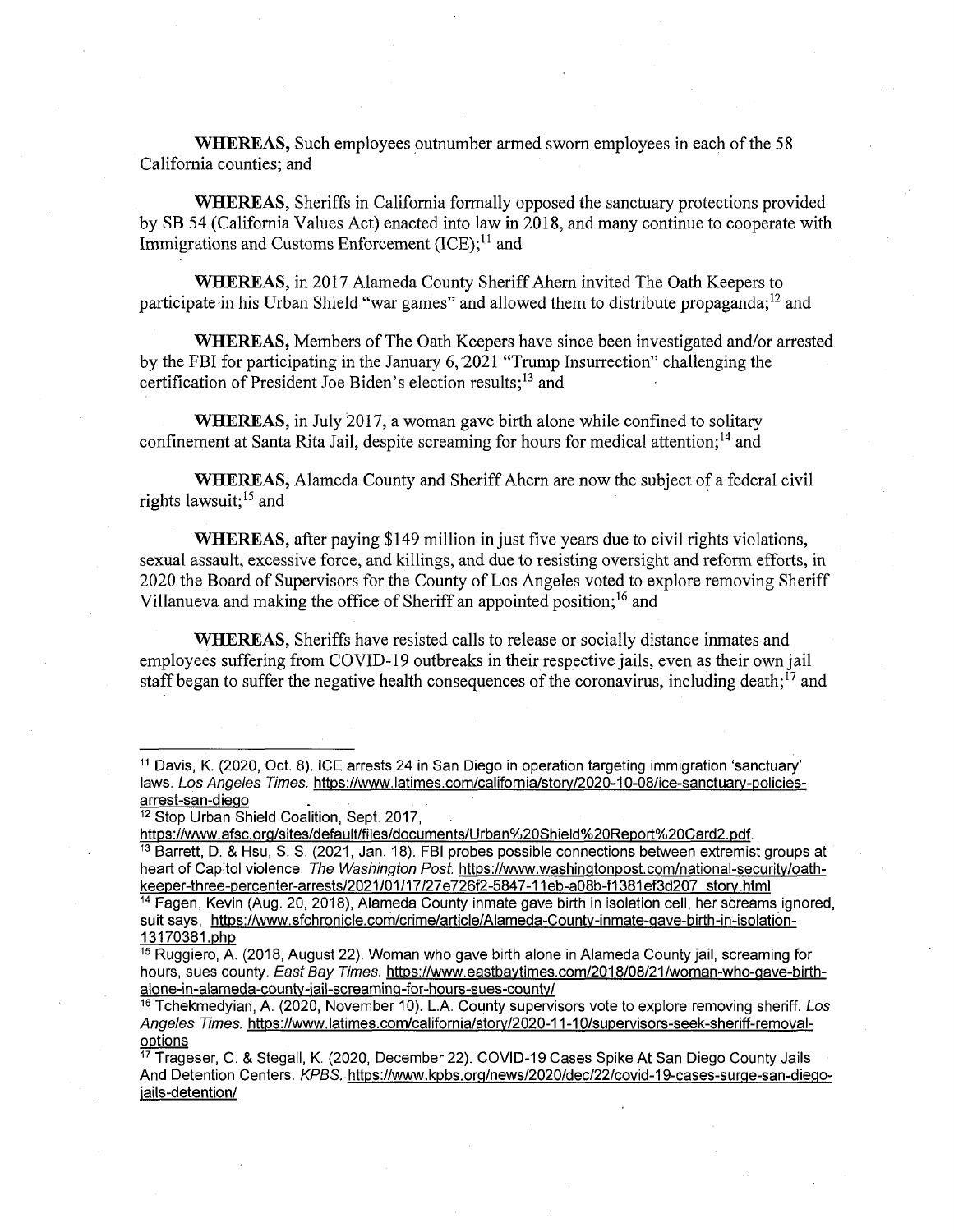**WHEREAS,** Such employees outnumber armed sworn employees in each of the 58 California counties; and

**WHEREAS,** Sheriffs in California formally opposed the sanctuary protections provided by SB 54 (California Values Act) enacted into law in 2018, and many continue to cooperate with Immigrations and Customs Enforcement  $(ICE)$ ;<sup>11</sup> and

WHEREAS, in 2017 Alameda County Sheriff Ahern invited The Oath Keepers to participate in his Urban Shield "war games" and allowed them to distribute propaganda;<sup>12</sup> and

**WHEREAS,** Members ofThe Oath Keepers have since been investigated and/or arrested by the FBI for participating in the January 6, 2021 "Trump Insurrection" challenging the certification of President Joe Biden's election results; $^{13}$  and

**WHEREAS,** in July 2017, a woman gave birth alone while confined to solitary confinement at Santa Rita Jail, despite screaming for hours for medical attention;<sup>14</sup> and

WHEREAS, Alameda County and Sheriff Ahern are now the subject of a federal civil rights lawsuit:<sup>15</sup> and

**WHEREAS,** after paying \$149 million in just five years due to civil rights violations, sexual assault, excessive force, and killings, and due to resisting oversight and reform efforts, in 2020 the Board of Supervisors for the County of Los Angeles voted to explore removing Sheriff Villanueva and making the office of Sheriff an appointed position;<sup>16</sup> and

**WHEREAS,** Sheriffs have resisted calls to release or socially distance inmates and employees suffering from COVID-19 outbreaks in their respective jails, even as their own jail staff began to suffer the negative health consequences of the coronavirus, including death;<sup>17</sup> and

<sup>13</sup> Barrett, D. & Hsu, S. S. (2021, Jan. 18). FBI probes possible connections between extremist groups at heart of Capitol violence. *The Washington Post,* [https://www.washinatonpost.com/national-securitv/oath](https://www.washinatonpost.com/national-securitv/oath-keeper-three-percenter-arrests/2021/01/17/27e726f2-5847-11eb-a08b-f1381ef3d207_storv.html)[keeper-three-percenter-arrests/2021/01/17/27e726f2-5847-11eb-a08b-f1381ef3d207](https://www.washinatonpost.com/national-securitv/oath-keeper-three-percenter-arrests/2021/01/17/27e726f2-5847-11eb-a08b-f1381ef3d207_storv.html) storv.html

<sup>14</sup> Fagen, Kevin (Aug. 20, 2018), Alameda County inmate gave birth in isolation cell, her screams ignored, suit says, [https://www.sfchronicle.com/crime/article/Alameda-Countv-inmate-aave-birth-in-isolation-](https://www.sfchronicle.com/crime/article/Alameda-Countv-inmate-aave-birth-in-isolation-13170381.oho)[13170381.oho](https://www.sfchronicle.com/crime/article/Alameda-Countv-inmate-aave-birth-in-isolation-13170381.oho)

<sup>11</sup> Davis, K. (2020, Oct. 8). ICE arrests 24 in San Diego in operation targeting immigration 'sanctuary' laws. *Los Angeles Times,* [https://www.latimes.com/california/storv/2020-10-Q8/ice-sanctuarv-policies](https://www.latimes.com/california/storv/2020-10-Q8/ice-sanctuarv-policies-arrest-san-dieao)[arrest-san-dieao](https://www.latimes.com/california/storv/2020-10-Q8/ice-sanctuarv-policies-arrest-san-dieao) .

<sup>&</sup>lt;sup>12</sup> Stop Urban Shield Coalition, Sept. 2017,

<https://www.afsc.orq/sites/default/files/documents/Urban%20Shield%20Report%20Card2.pdf>.

 $\frac{15}{15}$  Ruggiero, A. (2018, August 22). Woman who gave birth alone in Alameda County jail, screaming for hours, sues county. *East Bay Times.* [https://www.eastbavtimes.com/2018/08/21/woman-who-aave-birth](https://www.eastbavtimes.com/2018/08/21/woman-who-aave-birth-aione-in-alameda-countv-iail-screaminq-for-hours-sues-countv/)[aione-in-alameda-countv-iail-screaminq-for-hours-sues-countv/](https://www.eastbavtimes.com/2018/08/21/woman-who-aave-birth-aione-in-alameda-countv-iail-screaminq-for-hours-sues-countv/)

<sup>16</sup> Tchekmedyian, A. (2020, November 10). L.A. County supervisors vote to explore removing sheriff. *Los Angeles Times.* [https://www.latimes.com/california/storv/2020-11-1Q/supervisors-seek-sheriff-removal](https://www.latimes.com/california/storv/2020-11-1Q/supervisors-seek-sheriff-removal-ootions)[ootions](https://www.latimes.com/california/storv/2020-11-1Q/supervisors-seek-sheriff-removal-ootions)

<sup>17</sup> Trageser, C. & Stegall, K. (2020, December 22). COVID-19 Cases Spike At San Diego County Jails And Detention Centers. *KPBS.* [https://www.kpbs.org/news/2020/dec/22/covid-19-cases-surae-san-dieqo](https://www.kpbs.org/news/2020/dec/22/covid-19-cases-surae-san-dieqo-iails-detention/)[iails-detention/](https://www.kpbs.org/news/2020/dec/22/covid-19-cases-surae-san-dieqo-iails-detention/)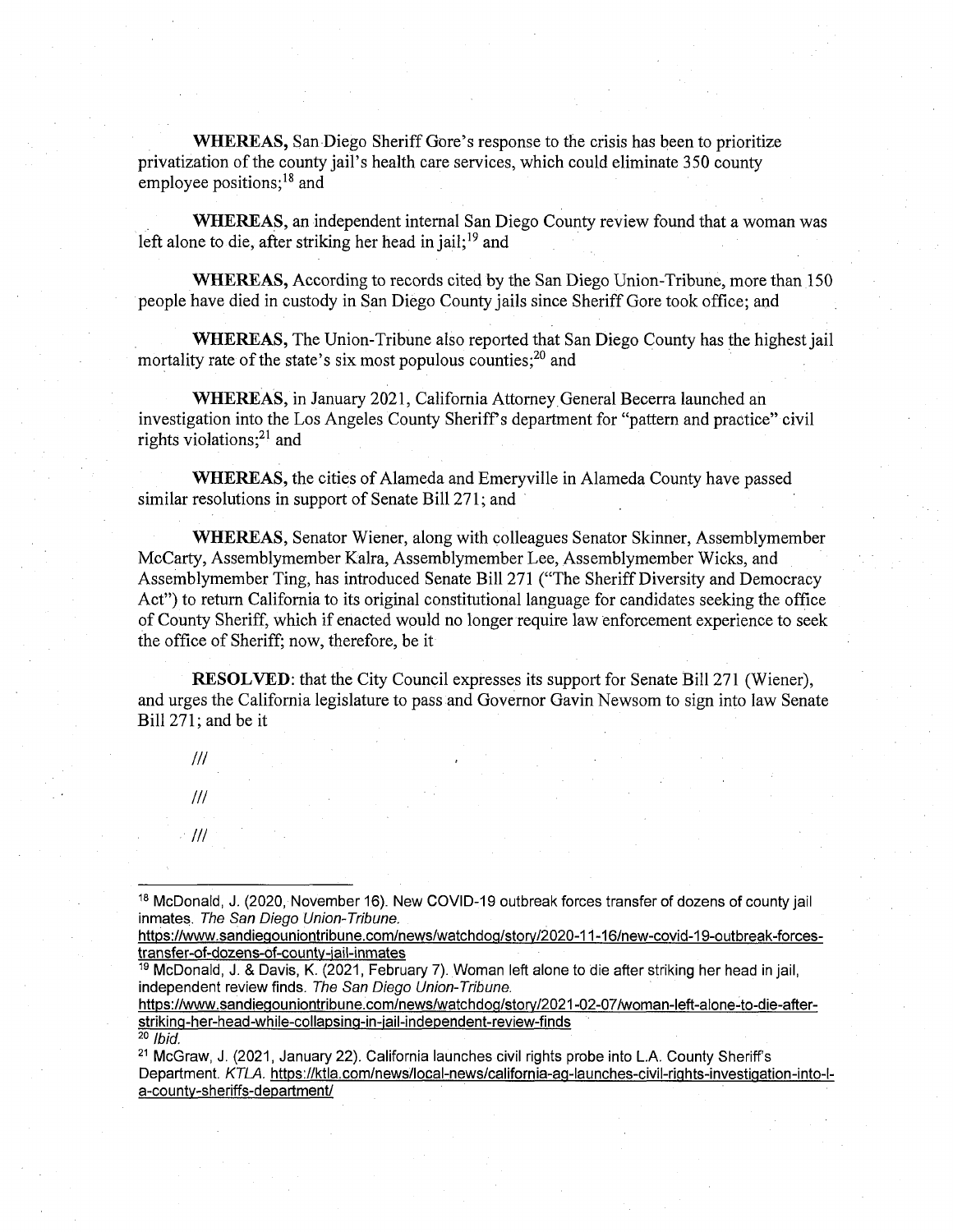**WHEREAS,** San Diego Sheriff Gore's response to the crisis has been to prioritize privatization ofthe county jail's health care services, which could eliminate 350 county employee positions;<sup>18</sup> and

**WHEREAS,** an independent internal San Diego County review found that a woman was left alone to die, after striking her head in jail;<sup>19</sup> and

**WHEREAS,** According to records cited by the San Diego Union-Tribune, more than 150 people have died in custody in San Diego County jails since Sheriff Gore took office; and

WHEREAS, The Union-Tribune also reported that San Diego County has the highest jail mortality rate of the state's six most populous counties; $^{20}$  and

**WHEREAS,** in January 2021, California Attorney General Becerra launched an investigation into the Los Angeles County Sheriff's department for "pattern and practice" civil rights violations; $^{21}$  and

**WHEREAS,** the cities of Alameda and Emeryville in Alameda County have passed similar resolutions in support of Senate Bill 271; and

**WHEREAS,** Senator Wiener, along with colleagues Senator Skinner, Assemblymember McCarty, Assemblymember Kalra, Assemblymember Lee, Assemblymember Wicks, and Assemblymember Ting, has introduced Senate Bill 271 ("The Sheriff Diversity and Democracy Act") to return California to its original constitutional language for candidates seeking the office of County Sheriff, which if enacted would no longer require law enforcement experience to seek the office of Sheriff; now, therefore, be it

**RESOLVED:** that the City Council expresses its support for Senate Bill 271 (Wiener), and urges the California legislature to pass and Governor Gavin Newsom to sign into law Senate Bill 271; and be it

*III III*

*III*

https://www.sandiegouniontribune.com/news/watchdog/story/2021-02-07/woman-left-alone-to-die-afterstrikina-her-head-while-collapsing-in-iail-independent-review-finds

<sup>20</sup> *Ibid.*

<sup>&</sup>lt;sup>18</sup> McDonald, J. (2020, November 16). New COVID-19 outbreak forces transfer of dozens of county jail inmates. *The San Diego Union-Tribune.*

https://www.sandiegouniontribune.com/news/watchdog/story/2020-11-16/new-covid-19-outbreak-forces[transfer-of-dozens-of-countv-iail-inmates](https://www.sandieaouniontribune.com/news/watchdoa/storv/2020-11-16/new-covid-19-outbreak-forces-transfer-of-dozens-of-countv-iail-inmates)

<sup>19</sup> McDonald, J. & Davis, K. (2021, February 7). Woman left alone to die after striking her head in jail, independent review finds. *The San Diego Union-Tribune.*

<sup>21</sup> McGraw, J. (2021, January 22). California launches civil rights probe into L.A. County Sheriff's Department. *KTLA.* [https://ktla.com/news/local-news/california-aq-launches-civil-riahts-investiaation-into-l](https://ktla.com/news/local-news/california-aq-launches-civil-riahts-investiaation-into-l-a-countv-sheriffs-department/)[a-countv-sheriffs-department/](https://ktla.com/news/local-news/california-aq-launches-civil-riahts-investiaation-into-l-a-countv-sheriffs-department/)